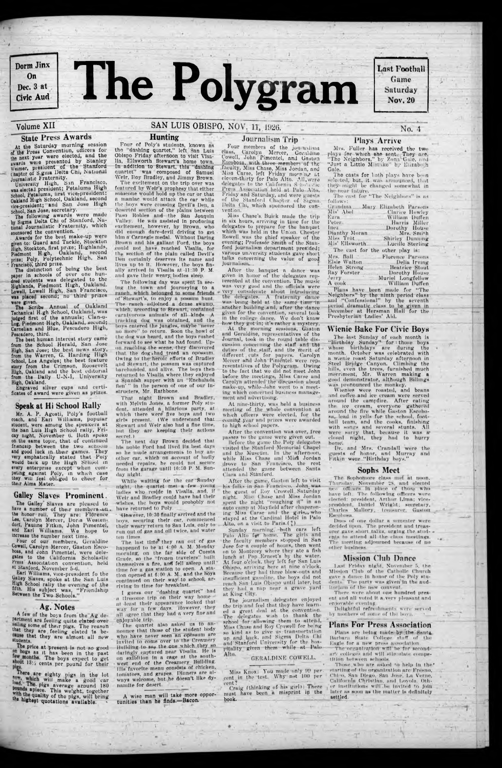

Last Football Game Saturday Nov. 20

# Volume XII

# State Press Awards

At the Saturday morning session of the Press Convention, olHeors for the next year were elected, and the awards were presented by Stanley Weimer, president of the Staniord ihapter of S.gma Delta Chi, National

Journalistic Fraternity.<br>University High, San Francisco, was elected president; Petaluma High School, Petaluma, first vice-president: Oakland High School, Oakland, second vice-president; and San Jose High School, San Jose, secretary.

The following awards were made bv Sigma Delta Chi of Stanford, National Journalistic Fraternity, which sponsored the convention.

• Francisbo', third prize. The distinction of being the best paper in schools of over one hundred students was delegated to the Highlands, Piedmont High, Oakland. Lowell, Lowell High, San Francisco, was placed second; no third prizes<br>were given.

were given.<br>The Scribe Annual of Oakland Techanical H.gh School, Oakland, was judged first of the unnuals; Clun-o-Log, Piedmont High, Oakland, second; Carnelian and Blue, Pescudero High, Pescadero, third.

Awards for the best make-up were given to: Guard and Tackle, Stockton High, Stockton, first prize; Highlands, Piedmont H.gh, Oakland, second prize; Poly, Polytechnic High, San

The best human interest story came from the School Herald, San Jose High, San Jose; the best news story, from the Warren, G. Harding High School, Los Angeles; the best feature story from the Crimson, Roosevelt High, Oakland and the best editorial from the Daily U-N-l, University High, Oakland.

Mr. A. P. Agosti, Poly's football coach, and Earl Williams, popular student, were among the speakers at the San Luis High School rally, Friday night, November 0. Both spoke on the same topic, thut of continued friendsip between the two schools and good luck in their games. They emphatically stated that Poly would back up the High School in every enterprise except when competing against Poly, in which case they win feel obliged to cheer for their Alma Mater.

Press Association convention, held at Stanford, November 5-6.

A few of the boys from the Ag department are feeling quite elated over salling some of their pigs. The reason that they are, feeling elated 1s bethat they are almost all new students.

The price at present is not so good on hogs as it has been in the past few months. The boys expect to get  $\frac{13}{4}$  cents per pound for their

now are eighty nigs in the lot load, The pigs average around 180 with the quality of the pigs, will bring<br>the kine quality of the pigs, will bring **"** "Enest quotations available.

Engraved silver cups and certificates of award were given as prizes.

#### Speak at Hi School Rally

Four of Poly's students, known ns tho "dashing quartet," left San LuIb Obispo Friday afternoon to visit Visalia, Ellsworth Stewart's homo town. In addition to Stewart, this "dashing quartet" was composed of Samuel was composed of Samuel Weir, Roy Bradley, and Jimmy Brown.

#### Galley Slaves Prominent.

The excitement on the trip over was featured by Weir's prophesy that either someone would hold up the car or that n maniac would attack the car while the boys were crossing Devil's Den, a deserted section of the plains between Paso Robles and- the San Joaquin Valley. He was assisted in producing excitement, however, by Brown, who did enough dare-devil driving to get him n Carnegie medal. Without Daring Brown and his gallant Ford, the boys .could not have reached Visalia, for the section of the plain called Devil's I)en certainly deserves Its name and lives up to It. However, the boys finally arrived in Visalia at -11:30 P. M. and gave their'weary, bodies sleep.

The following day was spent In seeing the town and Journeying to a of "Stewart's, to enjoy a possum hunt The ranch adjoined a dense swamp, which, according to Stewart, contained carnivorous animals of all kinds. tracking dog wag obtained, und the boys entered the jungles, maybe"heyer no more." to return. Soon the howl of the dog was heard, and the boys rushed forward to see what he had found. Upon reaching the scene, they discovered that the dogkhad treed, an opossum. Owing to the-herofe efforts of Bradley and Stewart, the possum was captured barehanded, and alive. The hoys then returned to Visalia where they enjoyed a Spanish supper, with an "Enchalada lien' " In the person of one of our Instructers, Mr. Rathbone.

The Galley Slaves are pleased to have a number of their members *-mix.* the honor roll. They are: Florence Lee, Carolyn Mercer, Dons Weston: dorf, Pauline Fitkin, John Pimentel, and Earl Williams. We hope to increase the number next time.

Four of our members, Geraldine Cowell, Carolyn Mercer, Gaston Kscobosa, and John Pimentel, were delegates to the California Scholastic

# SAN LUIS OBISPO, NOV. 11, 1926.

Earl Williams, vice-president fo the Galley Slaves, spoke at the San Luis High School rally the evening of the atth. His subject was, " Friendship Between the Two Schools."

#### Ag. Notes

At the morning sessions, Gaston und Geraldine, representatives of the Journal, took in the round table discussion concerning the staff and the duties of the staff, and the merit of different , cuts for papers. Carolyn Mercer and John Pimentel, were representatives of the Polygram. Owing to the fact that we did not meet John before the meetings, Miss Carse and Carolyn uttended'the discussion about nmke-up, while-John went to a meeting which concerned business management and advertising.

After the game, Gaston left to visit his folks in San Francisco. John\_was the guest of Roy Crowell Saturday n ght. Miss Chase and Miss Jordan spent the night "roughing it" in an auto camp at Mayfield after chaperoning Miss Carse and the girls,, who stayed at the Cardinal Hotel in Palo Alto, on a visit to Paris. $(2)$ 

### Hunting

Sunday morning, -both cars left Palo Alto for home. The girls and the faculty members stopped in San Jose for a couple of hours, then went on to Monterey where they ate a fish lunch nt Pop Ernest's by the water. At four o'cloek. they left for San Luis Ob spo, arriving here at nine o'cloek. Because they had three blow-outs and insufficient gasoline, the boys did not reach San Luis Obispo until later, but they had a nap near a grave yard at King City. The journalism delegates enjoyed the trip and feel that they have learned a great deal at the convention. The delegates wish to thank the school for allowing them to attend, Miss Chase and Roy Crowell for be ng so kind ns to give us-transportation up and hack, und Sigma Delta Chi and Stanford University for the hospitality given them while at Palo

#### Journalism Trip

Four members of tho journalism class, Carolyn Mercer, Gor.ildino towoll, John ! Pimentel, and Gaston Escobosa. with-three members of the' faculty, Miss Chase, Miss Jordun, and Miss Carse, left F'riday 'morning at edeven-thirty for Palo Alto. All.wcro delegates to the California Scho'a ric Pre-s Association held at Palo. Alto, Friday and Saturday, and were guests of the Stanford ( hapter of Sigma Delta Chi, which sponsored the con-' vention.

The last time they ran out of gas happened to he nl 4:00 A. M. Monday morning, on the far side of Cuesta Grade, so the "frozen travelers" built themselves a fire, and fell asleep until time for a gas station to open. A statlon opened at 6:00 A. M., and the hoys continued on their way to school, arriving In time for breakfast.

enjoyable trip. The quartet also asked us to an-\* nounce that those of the student body who have never seen an opossum are Invited to come over to the Creamery Building to-see the one which they so daringly captured near Visalia. He is on exlbhlon In a rage at the southwest end of the Creamery Building. Ills favorite menu consists of chicken, tomatoes, and grapes. Dinners are always welcome, but he doesn t like dynamite for desert.

Miss Chase's. Buiek made the trip in six hours, arriving in time for the delegates to prepare for tho banquet which was held in the Union. Chester Rowell was the chief sneaker of the evening; Professor Sniitn of the Stanford journalism department presided; various university students gave short talks concerning the value of good journalism\*..

wise man will take more opportunities than he finds.—Bacon.

The east for "The Neighbors" is ns  $\epsilon$ .  $\frac{1}{2}$ 

After the bunqUet n dance was given in honor of the delegates represented at the convention. The music was very good and the officials were . very considerate about Introducing the delegates. A fraternity dunce was being held at the same time in another building and, after the dance given for the convention, several took in the college dance. We don't know how they got in; it's rather n mystery.

and " Confessional" by the seventh period dramatic class to be given ip December at Ilersman Hull for the Presbyterian Ladies' Aid.

Craig (thinking of his girl): There must have been a misprint ip the book.

Wienies were roasted, and beans and coffee und ice cream were served around the campfire. After eating the ice cream, everyone gathered around the fire while Gaston Escobosn, lead in yells for the school, football team, and the cooks, finishing with songs and several stunts. All were sorry that, because it was a closed night, they had to hurry home'.

At nine-thirty, was held u business meeting of the whole convention at which officers were elected, for the coming yew and prizes were awarded to high school papers.

> The Sophomore class met at noon, Thursday, November US, nnd elected new officers Tn place of those Who have left,: The following officers were elected: president, Arthur Lima; vicepresident, Daniel Wright; secretary, Charles Mallory; treasurer, Gaston fSseohosa.

After the convention was over, free passes to the game were given out.

> Last Friday night, November 5, the Mission Club of the Catholic Church gave n dance In honor of the Poly students\* The party wns given in the auditorium of the new convent.

Before the game the Poly delegates visited the Stanford Memorial Chapel and the Museum. In the afternoon, while Miss Chase and 'Mis8 Jordan drove to Sun Francisco, the rest attended the game between Santa Clara and Stanford.

> There were about one hundred present and all voted it a very pleasant and enjovatde evening

> Delightful refrt hmenls were' served by mothers of some of the boys.

Plans are being made by the Santa Barbara State College stuff of the Eagle for a new press association.

The organization wiff he for secondar\- colleges and will stimulate competition between schools.

Those who are asked to help in the\* starting of the organization are- Fresno, Chl 'o, San Diego, San Jose, La Verne, California Christian, and Loyola, other Institutions wlir.be Invited to Join later as soon as the matter Is definitely settled.

#### GERALDINE COWELL.

Miss Knox: You made only 99 per. cent in the test. Why not 100 per

Thnt night Brown and Bradley, with Melvin Jones, a former Poly student, attended a hilarious patty, at which there were five hoys and two girts present. (We understand that Stewart and Weir also had a fine time, but they are keeping their actions secret.)

The next day Brown deeided that his noble Ford had lived its best days so he made arrangements to buy another ear, which on -account of badly needed repairs, he could not secure from the garage until 10:50 P. M. Sunday night.

While waiting for the enr Sunday night, the quartet met a few young ladies who reside in Visalia, and, if Weir nnd Bradley could have had their wishes, the hoys would probobly not have returned to Poly.

• -However, 10:30 finally arrived nnd the boys, securing their ear, commenced their weary return to San Luis, only to run out of gas nnd oil twice, and water ten times.

I guess our "dashing quartet" had a tiresome trip on their way home lit least their appearance looked thnt way Tor n few dnys. However, they all agree that they had n very fine nnd No. 4

#### Plays Arrive

Mrs. Fuller has received the two plays for which she sent.; They are. "The Neighbors," by Zona Gale, and "Just a Little Mistake" by L'lizabeth Gale.

The casts for both plays have been selected, but, it was announced, that they- might bo changed somewhat in the near future,

| 11111W <sub>2</sub>             |                                                                    |
|---------------------------------|--------------------------------------------------------------------|
|                                 | Grandma Mary Elizabeth Parsons                                     |
|                                 | Mis' Abel <b>Clarice Howley</b>                                    |
| Ezra <sub>11</sub>              | <b>William Duffen</b>                                              |
| Peter Peter                     | - Harris Miller                                                    |
| Inez                            | <b>Dorothy House</b>                                               |
| Dianthy Moran                   | Mrs. Smith                                                         |
|                                 |                                                                    |
| Mis' Ellsworth                  | Lucillo Sterling                                                   |
| The cast for the other play is: |                                                                    |
|                                 | Mrs. Ball Fig. Florence Parsons                                    |
|                                 |                                                                    |
|                                 |                                                                    |
|                                 |                                                                    |
|                                 | Ray Forster <b>Dorothy House</b><br>Jerry <b>Muriel Longfellow</b> |
|                                 | A cook William Duffen                                              |
|                                 | Plans have been made for "The                                      |
|                                 | Neighbors" by the ninth period class.                              |
|                                 |                                                                    |

#### Wienie Hake For Civic Boys

The last Sunday of each month is "Birthday Sunday" for i those boys whose birthduys are during the month. October was celebrated with a wienie roast Saturday afternoon in Steel Brjdge Canyon. Climbing the hills, even the trees, furnished much merriment, Mr. Warren making a good demonstrator, although Hillings wus pronounced the monkey.

Dr. nnd Mrs, Crandall were the guests of honor, nnd Murray nnd Pitkin were "Birthday boys."

#### Sophs Meet

Dues of one dollur a semester were decided upon The president und treasurer gave short talks, urging the stud- epts to attend all the class meetings.  $-4$ The meeting adjourned because of no other business.

#### Mission Club Dance

#### Plans For Press Association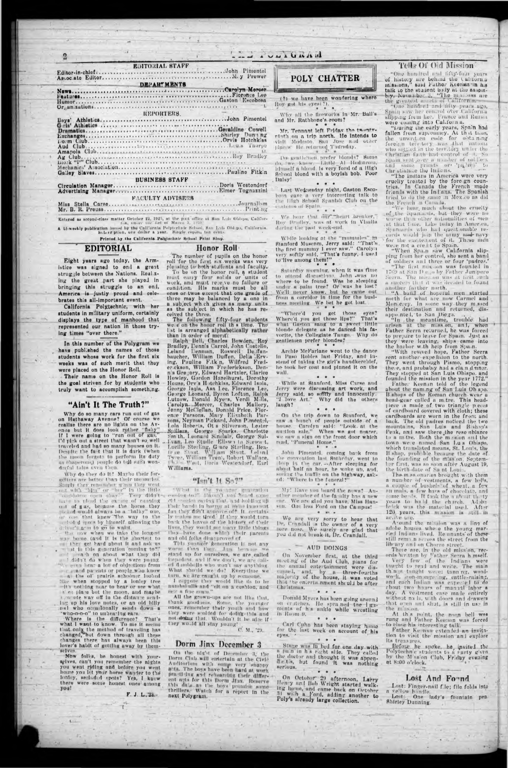**EDITORIAL STAFF** FACULTY ADVISERS 

Entered as accord-class matter October 22, 1925, at the part office at San Luis Oblapo, California.<br>A Li-weekly publication (asued by the California Polyteclate School, San Luis Oblapo, California.<br>Subset ption, one dollar

Printed by the California Polytechnic School Print Shop.

#### **EDITORIAL**

Honor Roll

Eight years ago today, the Armistice was signed to end a great struggle between the Nations. Real.zing the great part she played in bringing this struggle to an onl, America is justly proud and celebrates this all-important event.

California Polytechnic, with her students in military uniform, certainly displays the type of manhood that represented our nation in those trying times "over there."

In this number of the Polygram we have published the names of those students whose work for the first six weeks was of such merit that they were placed on the Honor Roll.

Their name on the Honor Roll is the goal striven for by students who truly want to accomplish something.

#### "Ain't It The Truth?"

Why do so many cars run out of gas on Hathaway Avenue? Of course we realize there are no lights on the Avonue but it does look rother "fishy If I were going to "run out of gas, I'd plok out a street that wasn't so well. traveled and had so many houses on it. Despite the fa t that it is durk (when the moon forgets to perform its daty derful tales even then.

Why do they do it? Maybe their forgetters are better than their memories. Surely they reported a when they went<br>out white"him" or "her" in the little<br>cordinate open show!" Twoy didn't have to plend the exerce of running out of gus, because the horse they one that knew The way to the shidule indicate the state of the state of the shidule in the shidule of the wall to

the now when we take the longest near. bome (and it is the shortest to they get hard ubout it and ask us I didn't do when they were young.  $181111$ 

The number of pupils on the honor roll for the first six weeks was very pleasing to both stuilents and faculty.

To be on the honor roll, a student<br>must carry four solds or units of work, and must re eve no fallure or condition. His marks must be all ones or twos except that one grade of three may be balanced by a one in<br>a subject which gives as many units as the sub ect in which he has re-

ceived the three.<br>The following fifty-four students<br>we c on the honor roll the time. The<br>list is arranged alphabetically rather than in order of meriti

Ralph Bell, Charles Bowden, Roy Raiph Bell, Charles Dowden, Roy<br>Lelland Lennian, Roswell Do.ffen-<br>baucher, William Duffen, Della Erv-<br>ing, Pauline F.tk'n, Wilfred Fre-<br>er.ckson, William Frederickson, Denn Gregory, Edward Hartzler, Clarice n - Gre ory, Edward Hartzler, Clarice<br>Howley, Gərdon Hazelhurst, Dorothy<br>House, Orv a Hətchkiss, Edward Isola,<br>George Leonard, Asa Lee, Florence Lee,<br>George Leonard, Byron Lofton, Ralph<br>Lutzow, Donuld Myers, Verdi Mills,<br>C con., Neyman Pickard, John P.mentel, Lola Roberts, Gorge Sparks.<br>Smillers, Gorge Sparks. Charlotte Smith, Leonard Sinclair, Gorge Sul-<br>1 and Leonard Sinclair, Gorge Sul-<br>1 and Leonard Sinclair, Gorge Sul-<br>1 and Leonard Sta Williams.

#### "Isn't It So?"

"What is the valuese generation "rules to." Haven't von Neu desine of the cost in mixing that, and holding up their hand in horror at some inno ent fin they difn't approve of? It certainly pushes me tird. If they would turn<br>buck the leaves of the hi tory of their lives, they would see many little things. bave done which their parents thes and old folks di approved of.

This younger generation is not any worse than they Just because we hoped at, and if we don't, we are calldumbbells who won't say anything. What should we do? Everytime we turn, we are eased to up by someone. I reprose they would like its to be numberedly and "oft on a cushion, and rew a flue geam.'

# POLY CHATTER

Let a vu de Gardent

(?) we have been wondering where Roy got his eyes(?).

Why all the fireworks in Mr. Ball's and Mr. Rathbone's room?

Mr. Tennant left Friday the twentyrinth on a trip north. He intends to vielt Modesto, San Jose and other places: He returned Thursday.

Do gentlemen, prefer blond :? Some do, twe know. Little Al Hedstrom,<br>himself a blond, is very fond of a High School blond with a boyish bob. Poor Dalsy!

Last Wednesday night, Gaston Escobosa gave a very interesting talk to the Illgh School Spanish Club on the cartous of Spain

We hear that our neart breaker," Roy Bradley, was at work in Visaila during the past week-end.

While looking at the "mummles" in Etanford Museum, Jerry said: "That's, the first mummy I ever saw," Carolyn to live among them!"  $\bullet$   $\bullet$   $\bullet$ 

Saturday morning, when it was fime to attend discussions. John .was no under a palm tree? Or was he lost? We'll never know, but he came out ness meeting. We bet he got lost.

"Where'd you get those eyes?<br>Where'd you get those lips?" That's what Gaston sang to a sweet little blonde delegate as he danced his favorite, the Collegiate Tango. Why do gentlemen prefer blondes?

Archie McFarlane went to the dance in Paso Robles hast Friday, and instend of taking the girl's handkerchief, he took her coat and pinned it on the wall.

While at Stanford, Miss Carse and Jerry were discussing art work, and Jerry said, so softly and innocently. Why did the others T love Art." laugh?

Con the trip down to Stanford, we gaw a bunch of people outside of a house. Carolyn said: "Look at the anation sale." When we got nearer, we saw a sign on the front door which read, "Funeral Home."

John Pimentel, coming back from the convention last Sathrday, went to deep in the car. -- After sleeping for about half an hour, he woke up, and, seclug the traffic on the highway, asked: "Where is the funeral?"

My! Have you heard the news?-Another member of the familty has a new car. We are glad you have, Miss Hansen. One less Ford on the Campus!  $\alpha$  . We have

We are very sorry to hear that Dr. Cinndall a the owner of a very<br>ore nose. We surely are glad that<br>you dd not break it, Dr. Crandall.

#### - AUD DOINGS

On November first, at the third meeting of the Aud Club, plans for the annual entertainment were disen el, and, by a three-fourths majority of the house, it was voted that the entertalnment should be after Christmas,  $\bullet\qquad \bullet\qquad \bullet$ 

#### Tell+O1 Oid Mission

"One hundred and fifty-four years of history are behind the Californian talk to the student bely at the assem-<br>biy, November 3. "The missions are<br>the greatest assets of California. "One hundred and fifty years ago,

Spnin saw her control over Unlifornia supping from her. France and Russia

"During the early years, Spain had fallen from supremacy. At that that, the unwritten code for obtaining foreign territory was that nations<br>who settled in the territory under the Christian faith had control of it. So Spain vent, over a hander of soldiers<br>and some priests or "patre" to<br>Christianize the Indians.

crucliy treated by the fore gn coun-<br>tries. In Canada the French made friends with the Infans. The Spanish<br>tried to do the same in Mex.co as did<br>the Freuch in Canala.

We hear, much about the cruelty of the Spaniards, but they were no worse then other nationalities of men at that time. Like today in America, Spannards who had questionable records would join the army and navy-<br>for the excitenent of it. These men were not a cielit to Spain.

"When Spa n saw California slipping from her control, she sent a band

of soldiers and three or four 'padress'<br>"The first mission was founded in<br>1769 at San D e o by Father Jungero Serra. The miss on was at first such a success that it was decided to found another farther north.

-"A band of hopeful men started north for what are now Carmel and<br>Monterey. In some way they mased<br>their destination and returned, dis-

appointed, to San Diego.<br>"In the meantime, trouble had arisen at the mission, and, when Father Serra returned, he was forced to prepare to leave for Spain. Just as they were leaving, ships came into harbor with help from Spain. the

"With revived hope, Father Serra rent unother expedicion to the north. They went through Pismo, stopping there, and probably had a claim dinner. They stopped at San Luis Obispo, and founded the mission in the year 1772."

Father Keenan told of the legend about the naming of San Luis Ob spo.<br>B shops of the Roman church wear a head gear called a m tre. This head-<br>piece a made of two triangle p eces of cardboard covered with cloth; these cardboards are worn in the front and back. The old padres noticed the two mountains, San Luis and Bishop's<br>Peak, and saw there the resemblance to a matre. Both the massion and the town we e named San Lus Obispo, which translated means, St. Louis, the B shop, probable because the date of the founding of the mission, Septemther first, was so soon after August 19,<br>the birth-date of Sa nt Louis.<br>The m ss onaries brought with them

a number of vestments, a few bells, a couple of bushels of wheat, a few an mals, a few hars of chocolate, and years to build the chirch. Adobt 120 years, this mission is still in acave me. Around the mission was a line of

adobe houses whe o the young mar-<br>ried Indians lived. Remnants of these still remain across the street from the lib ary and on Chorro street.

There are, in the old mission, records written by Father, Seera h mself.<br>
There are, in the old mission, records written by Father, Seera h mself.<br>
Very few of the Indians were<br>
taught to real and write. The main

the even hear a lot of objections from some and parents or people who know a the of prairie shooner looked Hice when stopped by a lonley tree this nothing near to hear or see what it of the but the moon, and maybe a o ote way off in the distance sendlug up his love notes, or an old hilly<br>cal who occasionally sends down a who-o-o-o" to unhearing ears.

Where is the difference? That's<br>what I want to know. To me it seems Unit only the method of traveling has changed, but down through all these hanges there has always been this lover's habit of getting away by themselves.

Now folks, he honest with youragives, can't you remember the nights you went riding and before you went<br>home you let your horse wander to the<br>loniey, seehad d spots? Yes, I knew there were some honest ones among yout

F. J. L. 24.

All the grown-ups are not like t'int, thank goodness. Some, the younger ones, remember their youth and how they were scolded for doingethis and not design that I Wouldn't it be nice if they would all stay young!

C. M., '29.

#### Dorm Jinx December 3

On the night of December 3, the Dorm Clab will entertain at the Civic Auditorium with some very snappy prastising and rebearsing their different agts for this Dorm Jiax. Reserve data as the boys promise some this thrillers. Watch for a report in the next Polygram.

Donald Myers has been going around on critches. He sprained the lightin Room 0.  $0.0001$ 

Carl Cuhn has been staying home eyes.

Stage was in bed for one day with a pa n in h s right sile. They called the doctor and thought it was appendetis, but found it was nothing ser.ous.  $-2000$ 

On October 29 afternoon, Larry Hen y and Bob Wright started walking home, and came back on October 31 with a Ford, adding another to Poly's already large collection.

thin thuight were: tanning, woodwork, pron-mongering, cattle-raising, and each Indian was expected to do chout two hours of manual labor a day. A vestment case made entirely without na ls, with doors and drawers that o en and shut, is still in use in the mirs on.

At this point, the noon bell was to close his interesting talk.

Father Ke nan extended an invitation to visit the mission and explore its treasures.

Before he spoke, he invited the<br>Polytechnic students to a rarty given<br>by the M sion Club, Friday evening<br>at 8:00 o'clock at 8:00 o'clock.

#### Lost And Found

Lort: Finger-nail fle; file folds into n cellow-handle<br>|Lost: One lady's fountain pen-Shirley Dunning.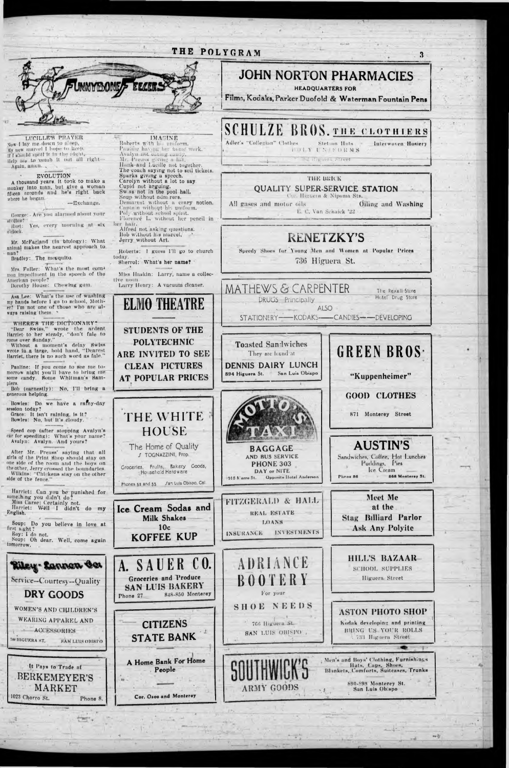# THE POLYGRAM 3



LUCILLE'S PRAYER Vow I lay me down to \tv new marcel I hope to keep. I shot Id spott it in the oight, Help me to "comb It out nil right — Again, amich. .

## EVOLUTION

A thousand years, it took to make a monkey Into limn, but glvo u woman fifteen seconds and he's right back where he began.<br> **George:** Are you alarmed about your

itudica?"<br>| llugt: Yes, every morning at six o'clock.

Mr. McFarland (In biology): W'lmt animal makes the nearest approach to man?

Bradley: The mosquito,

Mrs. Fuller: What's the most com<sup>1</sup> iron Impediment In tho speech of the American people? Dorothy House: Chewing gum.

Asa Lee: What's the use of washing my hands before 1 go to school, Mother? I'm not one of those who arc always raising them.

Bowles: Do we have a ramy-day session today? Grace: It Isn't raining, Is It?

Speed cop (after stopping Avalyn's car for speeding): What's your name? Avulyn: Avalyn. And yours?

WHERE'S THE DICTIONARY? "Dear Swiss," wrote the ardent Harriet'to her steady, " don't falo to rome over Sunday."

first s.ght? Roy: I do not. Soup: Oh dear. Well, come again tomorrow.

Without a moment's delay Swiss wrote lu a large, hold hand, "Dearest Harriet, there Is no such word as falo."

Pauline: If you come to see me tomorrow night you'll have to brlug me some candy. Some Whitman's Sam-■ piers.

Boh (earnestly): No, I'll bring a generous helping.

Bowles: No, hut It's cloudy.

After Mr. Preuss' saying that nil girls o/ (he Prim Shop should stny on one side of the room and the boys on the other, Jerry crossed the boundaries, Wilkins: "Chickens stay on the other side of the fence,"

Harriet: Can you be punished for something you d.dn't do? Miss ( ursc: Certainly not. Harriet: W611 I didn't do my English. Soup: Do you believe in love at

Adler's "Collegian" Clothes Stetson Hats 4 i t) | Y l N FORMS Interwoven Hosiery

. '•' - 11 and m i cot

## THE BRICK

**QUALITY SUPER-SERVICE STATION** 

Cor. Higuern & Nipoma Sts. All gases and motor oils **Oiling and Washing** U. Van Schaick '22

Speedy Shoes for Young Men and Women at Popular Prices 736 Higuera St.

MATHEWS & CARPENTER The Rexall Store DRUGS Principally

- ALSO STATIONERY-----KODAKS----CANDIES------DEVELOPING

Toasted Sandwiches They are found at **DENNIS DAIRY LUNCH** 

894 Higuera St. **\*** San Luis Obiapo

AND BUS SERVICE PHONE 303 DAY or N1TE 015 N orro St. Opposite Hotel Anderson

**AUSTIN'S** Sandwiches, Coffee, Hot Lunches Puddings, Pies Ice Cream Pinos 86 868 Monterey St.

FITZGERALD *&* HALL REAL ESTATE LOANS INSURANCE INVESTMENTS

**10c** KOFFEE KUP **JOHN NORTON PHARMACIES**

HEADQUARTERS FOR

Films, Kodaks, Parker Duofold & Waterman Fountain Pens

# **SCHULZE BROS. THE CLOTHLERS**

**ELMO THEATRE** STUDENTS OF THE POLYTECHNIC ARE INVITED TO SEE CLEAN PICTURES AT POPULAR PRICES **THE WHITE HOUSE The Home of Quality / TOGNAZZINI, Prop. Groceries, Fruits, Bakery Goods, Household Hardware** Phones 52 and 53 San Luis Obispo, Cal Ice Cream Sodas and Milk Shakes Mr. Preuss giving a lift, Hank and Lucille not together. The coach saying not to seil tickets. Sparks giving a speech. Carolyn without a lot to say. Cupid not arguing. Sw.ss not in the pool hall. Soup without ndm rors. Demarcat without a crazy notion. Cantu n without his uniform. Poly without school spirit. Florence L. without her pencil in her hair. Alfred not. asking questions. Bob without his marcel. Jerry without Art. Roberts: 1 guess I'll go to church today. Sherrol: What's her name? Miss Haskin: Larry, name a collective noun. Larry Henry: A vacuum cleaner.

**IMATINE** Robert« with his uniform. Pauline having he: home' work. Avulyn nut eating candy.



# **RENETZKY'S**





'Kuppenheimer"

GOOD CLOTHES

871 Monterey Street

Meet Me at the Stag Hilliard Parlor Ask Any Polyitc

. . i - \_

\*\*\*

\*7